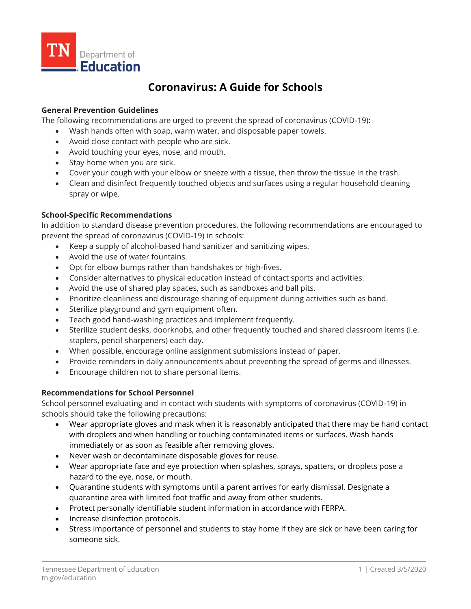

# **Coronavirus: A Guide for Schools**

#### **General Prevention Guidelines**

The following recommendations are urged to prevent the spread of coronavirus (COVID-19):

- Wash hands often with soap, warm water, and disposable paper towels.
- Avoid close contact with people who are sick.
- Avoid touching your eyes, nose, and mouth.
- Stay home when you are sick.
- Cover your cough with your elbow or sneeze with a tissue, then throw the tissue in the trash.
- Clean and disinfect frequently touched objects and surfaces using a regular household cleaning spray or wipe.

# **School-Specific Recommendations**

In addition to standard disease prevention procedures, the following recommendations are encouraged to prevent the spread of coronavirus (COVID-19) in schools:

- Keep a supply of alcohol-based hand sanitizer and sanitizing wipes.
- Avoid the use of water fountains.
- Opt for elbow bumps rather than handshakes or high-fives.
- Consider alternatives to physical education instead of contact sports and activities.
- Avoid the use of shared play spaces, such as sandboxes and ball pits.
- Prioritize cleanliness and discourage sharing of equipment during activities such as band.
- Sterilize playground and gym equipment often.
- Teach good hand-washing practices and implement frequently.
- Sterilize student desks, doorknobs, and other frequently touched and shared classroom items (i.e. staplers, pencil sharpeners) each day.
- When possible, encourage online assignment submissions instead of paper.
- Provide reminders in daily announcements about preventing the spread of germs and illnesses.
- Encourage children not to share personal items.

## **Recommendations for School Personnel**

School personnel evaluating and in contact with students with symptoms of coronavirus (COVID-19) in schools should take the following precautions:

- Wear appropriate gloves and mask when it is reasonably anticipated that there may be hand contact with droplets and when handling or touching contaminated items or surfaces. Wash hands immediately or as soon as feasible after removing gloves.
- Never wash or decontaminate disposable gloves for reuse.
- Wear appropriate face and eye protection when splashes, sprays, spatters, or droplets pose a hazard to the eye, nose, or mouth.
- Quarantine students with symptoms until a parent arrives for early dismissal. Designate a quarantine area with limited foot traffic and away from other students.
- Protect personally identifiable student information in accordance with FERPA.
- Increase disinfection protocols.
- Stress importance of personnel and students to stay home if they are sick or have been caring for someone sick.